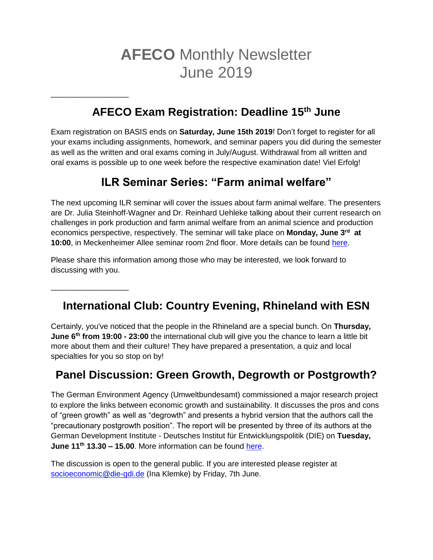# **AFECO** Monthly Newsletter June 2019

# **AFECO Exam Registration: Deadline 15th June**

\_\_\_\_\_\_\_\_\_\_\_\_\_\_\_\_\_\_

\_\_\_\_\_\_\_\_\_\_\_\_\_\_\_\_\_\_

Exam registration on BASIS ends on **Saturday, June 15th 2019**! Don't forget to register for all your exams including assignments, homework, and seminar papers you did during the semester as well as the written and oral exams coming in July/August. Withdrawal from all written and oral exams is possible up to one week before the respective examination date! Viel Erfolg!

# **ILR Seminar Series: "Farm animal welfare"**

The next upcoming ILR seminar will cover the issues about farm animal welfare. The presenters are Dr. Julia Steinhoff-Wagner and Dr. Reinhard Uehleke talking about their current research on challenges in pork production and farm animal welfare from an animal science and production economics perspective, respectively. The seminar will take place on **Monday, June 3rd at 10:00**, in Meckenheimer Allee seminar room 2nd floor. More details can be found [here.](http://www.ilr.uni-bonn.de/pe/research/ILR%20Seminar%20series/seminar_d.htm)

Please share this information among those who may be interested, we look forward to discussing with you.

# **International Club: Country Evening, Rhineland with ESN**

Certainly, you've noticed that the people in the Rhineland are a special bunch. On **Thursday, June 6th from 19:00 - 23:00** the international club will give you the chance to learn a little bit more about them and their culture! They have prepared a presentation, a quiz and local specialties for you so stop on by!

#### **Panel Discussion: Green Growth, Degrowth or Postgrowth?**

The German Environment Agency (Umweltbundesamt) commissioned a major research project to explore the links between economic growth and sustainability. It discusses the pros and cons of "green growth" as well as "degrowth" and presents a hybrid version that the authors call the "precautionary postgrowth position". The report will be presented by three of its authors at the German Development Institute - Deutsches Institut für Entwicklungspolitik (DIE) on **Tuesday, June 11th 13.30 – 15.00**. More information can be found [here.](https://www.die-gdi.de/veranstaltungen/details/green-growth-degrowth-or-postgrowth/)

The discussion is open to the general public. If you are interested please register at [socioeconomic@die-gdi.de](mailto:socioeconomic@die-gdi.de) (Ina Klemke) by Friday, 7th June.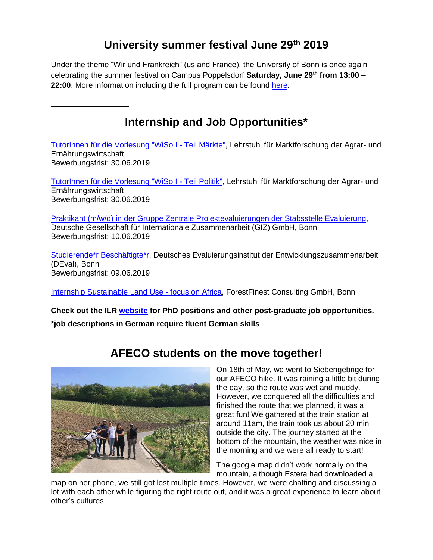# **University summer festival June 29th 2019**

Under the theme "Wir und Frankreich" (us and France), the University of Bonn is once again celebrating the summer festival on Campus Poppelsdorf **Saturday, June 29th from 13:00 – 22:00**. More information including the full program can be found [here.](https://www.sommerfest.uni-bonn.de/?set_language=en)

\_\_\_\_\_\_\_\_\_\_\_\_\_\_\_\_\_\_

\_\_\_\_\_\_\_\_\_\_\_\_\_\_\_\_\_

## **Internship and Job Opportunities\***

[TutorInnen für die Vorlesung "WiSo I -](https://www.ilr1.uni-bonn.de/de/jobs/stellenausschreibung-aushang-markte-ss19.pdf) Teil Märkte", Lehrstuhl für Marktforschung der Agrar- und Ernährungswirtschaft Bewerbungsfrist: 30.06.2019

[TutorInnen für die Vorlesung "WiSo I -](https://www.ilr1.uni-bonn.de/de/jobs/stellenausschreibung-aushang-politik-ss19.pdf) Teil Politik", Lehrstuhl für Marktforschung der Agrar- und Ernährungswirtschaft Bewerbungsfrist: 30.06.2019

[Praktikant \(m/w/d\) in der Gruppe Zentrale Projektevaluierungen der Stabsstelle Evaluierung,](https://jobs.giz.de/index.php?ac=jobad&id=43801) Deutsche Gesellschaft für Internationale Zusammenarbeit (GIZ) GmbH, Bonn Bewerbungsfrist: 10.06.2019

[Studierende\\*r Beschäftigte\\*r,](https://www.deval.org/de/stellenausschreibung/studierenden-besch%C3%A4ftigten.html) Deutsches Evaluierungsinstitut der Entwicklungszusammenarbeit (DEval), Bonn Bewerbungsfrist: 09.06.2019

[Internship Sustainable Land Use -](https://www.forestfinestconsulting.com/wp-content/uploads/2019/04/Internship_Land_Use_May_2019_v1.pdf) focus on Africa, ForestFinest Consulting GmbH, Bonn

**Check out the ILR [website](https://www.ilr1.uni-bonn.de/de/jobs/stellenanzeigen) for PhD positions and other post-graduate job opportunities.** \***job descriptions in German require fluent German skills**



# **AFECO students on the move together!**

On 18th of May, we went to Siebengebrige for our AFECO hike. It was raining a little bit during the day, so the route was wet and muddy. However, we conquered all the difficulties and finished the route that we planned, it was a great fun! We gathered at the train station at around 11am, the train took us about 20 min outside the city. The journey started at the bottom of the mountain, the weather was nice in the morning and we were all ready to start!

The google map didn't work normally on the mountain, although Estera had downloaded a

map on her phone, we still got lost multiple times. However, we were chatting and discussing a lot with each other while figuring the right route out, and it was a great experience to learn about other's cultures.